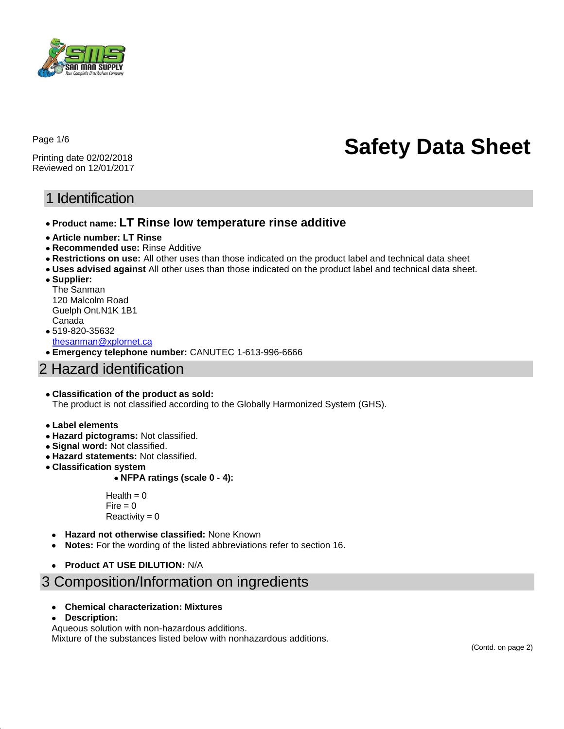

Page 1/6

Printing date 02/02/2018 Reviewed on 12/01/2017

# **Safety Data Sheet**

## 1 Identification

- **Product name: LT Rinse low temperature rinse additive**
- **Article number: LT Rinse**
- **Recommended use:** Rinse Additive
- **Restrictions on use:** All other uses than those indicated on the product label and technical data sheet
- **Uses advised against** All other uses than those indicated on the product label and technical data sheet.
- **Supplier:**  The Sanman 120 Malcolm Road Guelph Ont.N1K 1B1
- Canada 519-820-35632 [thesanman@xplornet.ca](mailto:thesanman@xplornet.ca)
- **Emergency telephone number:** CANUTEC 1-613-996-6666

## 2 Hazard identification

#### **Classification of the product as sold:**

The product is not classified according to the Globally Harmonized System (GHS).

- **Label elements**
- **Hazard pictograms:** Not classified.
- **Signal word:** Not classified.
- **Hazard statements:** Not classified.
- **Classification system**

#### **NFPA ratings (scale 0 - 4):**

 $Health = 0$  $Fire = 0$  $Reactivity = 0$ 

- **Hazard not otherwise classified:** None Known
- **Notes:** For the wording of the listed abbreviations refer to section 16.
- **Product AT USE DILUTION:** N/A

# 3 Composition/Information on ingredients

- **Chemical characterization: Mixtures**
- **Description:**

Aqueous solution with non-hazardous additions. Mixture of the substances listed below with nonhazardous additions.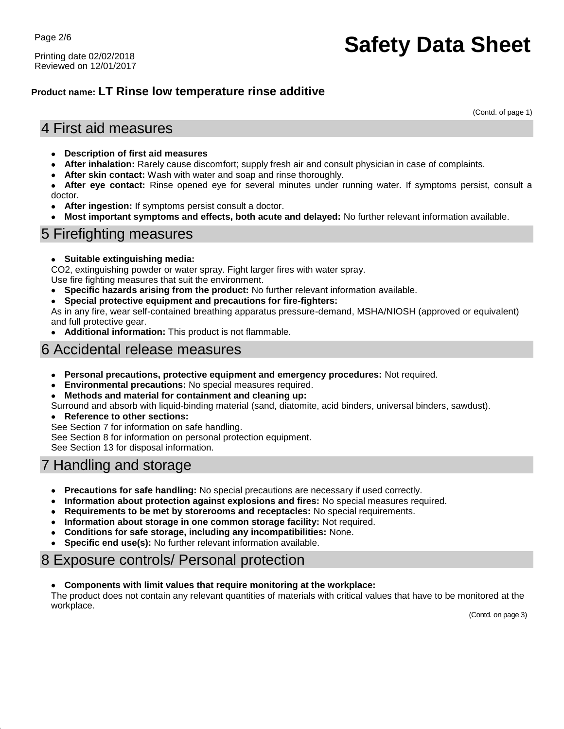Page 2/6

Printing date 02/02/2018 Reviewed on 12/01/2017

# **Safety Data Sheet**

### **Product name: LT Rinse low temperature rinse additive**

(Contd. of page 1)

## 4 First aid measures

- **Description of first aid measures**
- **After inhalation:** Rarely cause discomfort; supply fresh air and consult physician in case of complaints.
- **After skin contact:** Wash with water and soap and rinse thoroughly.

 **After eye contact:** Rinse opened eye for several minutes under running water. If symptoms persist, consult a doctor.

- **After ingestion:** If symptoms persist consult a doctor.
- **Most important symptoms and effects, both acute and delayed:** No further relevant information available.

## 5 Firefighting measures

**Suitable extinguishing media:**

CO2, extinguishing powder or water spray. Fight larger fires with water spray. Use fire fighting measures that suit the environment.

- **Specific hazards arising from the product:** No further relevant information available.
- **Special protective equipment and precautions for fire-fighters:**

As in any fire, wear self-contained breathing apparatus pressure-demand, MSHA/NIOSH (approved or equivalent) and full protective gear.

**Additional information:** This product is not flammable.

## 6 Accidental release measures

- **Personal precautions, protective equipment and emergency procedures:** Not required.
- **Environmental precautions:** No special measures required.
- **Methods and material for containment and cleaning up:**
- Surround and absorb with liquid-binding material (sand, diatomite, acid binders, universal binders, sawdust).
- **Reference to other sections:**

See Section 7 for information on safe handling.

See Section 8 for information on personal protection equipment.

See Section 13 for disposal information.

# 7 Handling and storage

- **Precautions for safe handling:** No special precautions are necessary if used correctly.
- **Information about protection against explosions and fires:** No special measures required.
- **Requirements to be met by storerooms and receptacles:** No special requirements.
- **Information about storage in one common storage facility:** Not required.
- **Conditions for safe storage, including any incompatibilities:** None.
- **Specific end use(s):** No further relevant information available.

## 8 Exposure controls/ Personal protection

**Components with limit values that require monitoring at the workplace:**

The product does not contain any relevant quantities of materials with critical values that have to be monitored at the workplace.

(Contd. on page 3)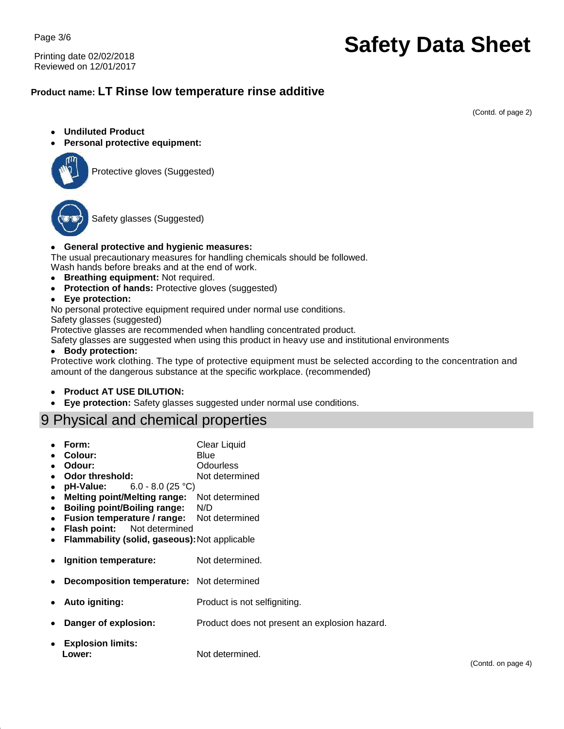Page 3/6

Printing date 02/02/2018 Reviewed on 12/01/2017

# **Safety Data Sheet**

### **Product name: LT Rinse low temperature rinse additive**

(Contd. of page 2)

- **Undiluted Product**
- **Personal protective equipment:**



Protective gloves (Suggested)



Safety glasses (Suggested)

#### **General protective and hygienic measures:**

The usual precautionary measures for handling chemicals should be followed. Wash hands before breaks and at the end of work.

- **Breathing equipment:** Not required.
- **Protection of hands: Protective gloves (suggested)**
- **Eye protection:**

No personal protective equipment required under normal use conditions.

Safety glasses (suggested)

Protective glasses are recommended when handling concentrated product.

Safety glasses are suggested when using this product in heavy use and institutional environments

#### **Body protection:**

Protective work clothing. The type of protective equipment must be selected according to the concentration and amount of the dangerous substance at the specific workplace. (recommended)

- **Product AT USE DILUTION:**
- **Eye protection:** Safety glasses suggested under normal use conditions.

## 9 Physical and chemical properties

- Form: Clear Liquid
- **Colour:** Blue
- **Odour:** Odourless
- **Odor threshold:** Not determined
- **pH-Value:** 6.0 8.0 (25 °C)
- **Melting point/Melting range:** Not determined
- **Boiling point/Boiling range:** N/D
- **Fusion temperature / range:** Not determined
- **Flash point:** Not determined
- **Flammability (solid, gaseous):**Not applicable
- **Ignition temperature:** Not determined.
- **Decomposition temperature:** Not determined
- **Auto igniting:** Product is not selfigniting.
- **Danger of explosion:** Product does not present an explosion hazard.
- **Explosion limits: Lower:** Not determined.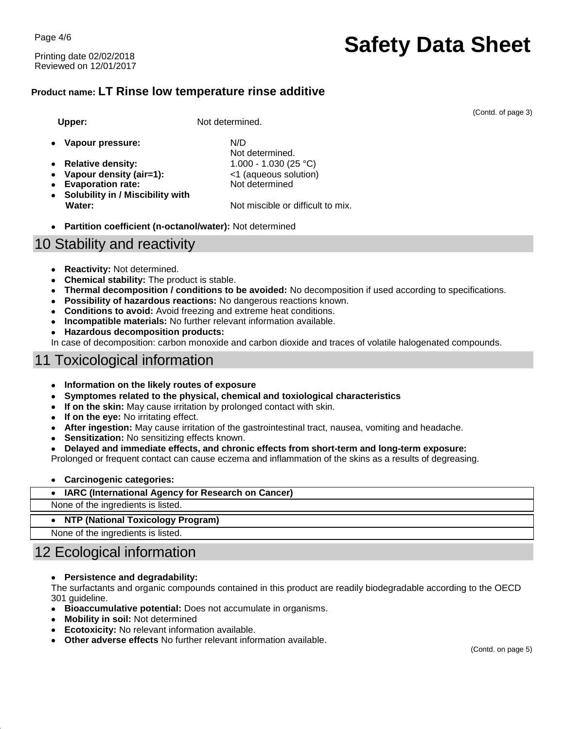Page 4/6

Printing date 02/02/2018 Reviewed on 12/01/2017

# **Safety Data Sheet**

### **Product name: LT Rinse low temperature rinse additive**

Upper: Not determined.

- **Vapour pressure:** N/D
- **Relative density:** 1.000 1.030 (25 °C)
- **Vapour density (air=1):** <1 (aqueous solution)
- Evaporation rate: Not determined
- **Solubility in / Miscibility with Water:** Not miscible or difficult to mix.

Not determined.

**Partition coefficient (n-octanol/water):** Not determined

## 10 Stability and reactivity

- **Reactivity:** Not determined.
- **Chemical stability:** The product is stable.
- **Thermal decomposition / conditions to be avoided:** No decomposition if used according to specifications.
- **Possibility of hazardous reactions:** No dangerous reactions known.
- **Conditions to avoid:** Avoid freezing and extreme heat conditions.
- **Incompatible materials:** No further relevant information available.
- **Hazardous decomposition products:**

In case of decomposition: carbon monoxide and carbon dioxide and traces of volatile halogenated compounds.

## 11 Toxicological information

- **Information on the likely routes of exposure**
- **Symptomes related to the physical, chemical and toxiological characteristics**
- **If on the skin:** May cause irritation by prolonged contact with skin.
- If on the eye: No irritating effect.
- **After ingestion:** May cause irritation of the gastrointestinal tract, nausea, vomiting and headache.
- **Sensitization:** No sensitizing effects known.
- **Delayed and immediate effects, and chronic effects from short-term and long-term exposure:**

Prolonged or frequent contact can cause eczema and inflammation of the skins as a results of degreasing.

**Carcinogenic categories:**

#### **IARC (International Agency for Research on Cancer)**

None of the ingredients is listed.

**NTP (National Toxicology Program)**

None of the ingredients is listed.

# 12 Ecological information

#### **Persistence and degradability:**

The surfactants and organic compounds contained in this product are readily biodegradable according to the OECD 301 guideline.

- **Bioaccumulative potential:** Does not accumulate in organisms.
- **Mobility in soil:** Not determined
- **Ecotoxicity:** No relevant information available.
- **Other adverse effects** No further relevant information available.

(Contd. of page 3)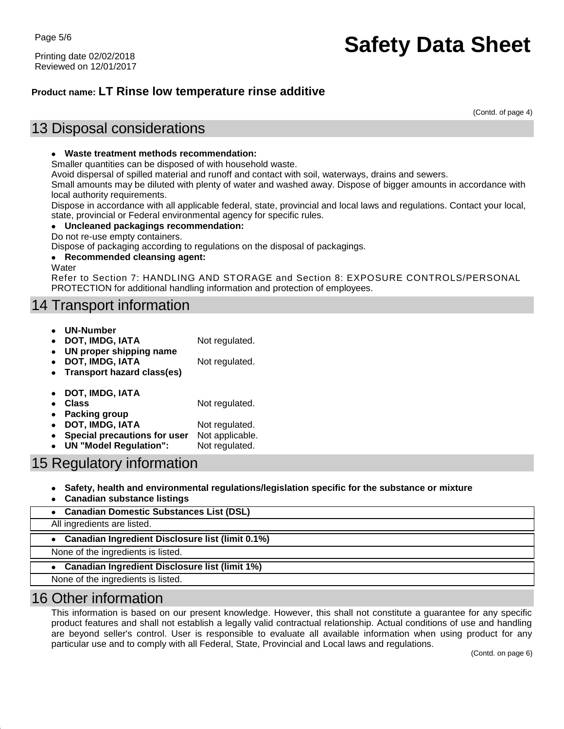Printing date 02/02/2018 Reviewed on 12/01/2017

# **Safety Data Sheet**

### **Product name: LT Rinse low temperature rinse additive**

(Contd. of page 4)

## 13 Disposal considerations

#### **Waste treatment methods recommendation:**

Smaller quantities can be disposed of with household waste.

Avoid dispersal of spilled material and runoff and contact with soil, waterways, drains and sewers.

Small amounts may be diluted with plenty of water and washed away. Dispose of bigger amounts in accordance with local authority requirements.

Dispose in accordance with all applicable federal, state, provincial and local laws and regulations. Contact your local, state, provincial or Federal environmental agency for specific rules.

#### **Uncleaned packagings recommendation:**

Do not re-use empty containers.

Dispose of packaging according to regulations on the disposal of packagings.

#### **Recommended cleansing agent:**

**Water** 

Refer to Section 7: HANDLING AND STORAGE and Section 8: EXPOSURE CONTROLS/PERSONAL PROTECTION for additional handling information and protection of employees.

## 14 Transport information

- **UN-Number**
	- **DOT, IMDG, IATA** Not regulated.
- **UN proper shipping name**
- **DOT, IMDG, IATA** Not regulated.
- **Transport hazard class(es)**
- **DOT, IMDG, IATA**
- **Class** Not regulated.
- **Packing group**
- **DOT, IMDG, IATA** Not regulated.
- **Special precautions for user** Not applicable.
- **UN "Model Regulation":** Not regulated.

## 15 Regulatory information

- **Safety, health and environmental regulations/legislation specific for the substance or mixture**
- **Canadian substance listings**

| • Canadian Domestic Substances List (DSL)          |  |
|----------------------------------------------------|--|
| All ingredients are listed.                        |  |
| • Canadian Ingredient Disclosure list (limit 0.1%) |  |
| None of the ingredients is listed.                 |  |
| • Canadian Ingredient Disclosure list (limit 1%)   |  |
| None of the ingredients is listed.                 |  |

## 16 Other information

This information is based on our present knowledge. However, this shall not constitute a guarantee for any specific product features and shall not establish a legally valid contractual relationship. Actual conditions of use and handling are beyond seller's control. User is responsible to evaluate all available information when using product for any particular use and to comply with all Federal, State, Provincial and Local laws and regulations.